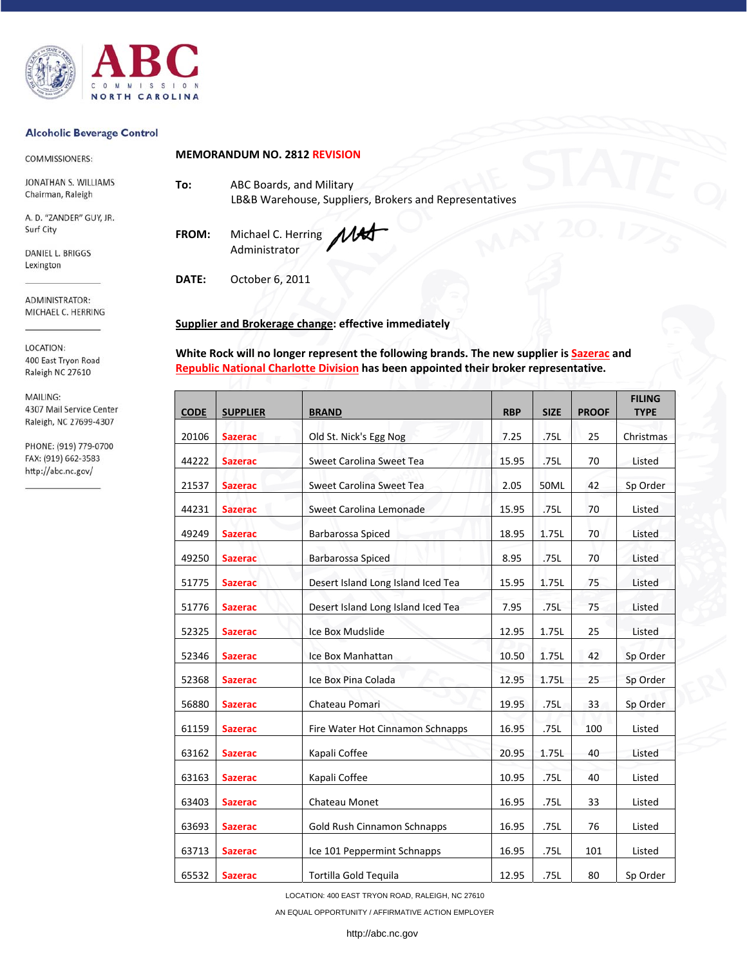

### **Alcoholic Beverage Control**

COMMISSIONERS:

JONATHAN S. WILLIAMS Chairman, Raleigh

A. D. "ZANDER" GUY, JR. Surf City

DANIEL L. BRIGGS Lexington

ADMINISTRATOR: MICHAEL C. HERRING

LOCATION: 400 East Tryon Road Raleigh NC 27610

MAILING: 4307 Mail Service Center Raleigh, NC 27699-4307

PHONE: (919) 779-0700 FAX: (919) 662-3583 http://abc.nc.gov/

**MEMORANDUM NO. 2812 REVISION**

**To:** ABC Boards, and Military LB&B Warehouse, Suppliers, Brokers and Representatives

**FROM:** Michael C. Herring Administrator

**DATE:** October 6, 2011

# **Supplier and Brokerage change: effective immediately**

**White Rock will no longer represent the following brands. The new supplier is Sazerac and Republic National Charlotte Division has been appointed their broker representative.** 

| <b>CODE</b> | <b>SUPPLIER</b> | <b>BRAND</b>                       | <b>RBP</b> | <b>SIZE</b> | <b>PROOF</b> | <b>FILING</b><br><b>TYPE</b> |
|-------------|-----------------|------------------------------------|------------|-------------|--------------|------------------------------|
| 20106       | <b>Sazerac</b>  | Old St. Nick's Egg Nog             | 7.25       | .75L        | 25           | Christmas                    |
| 44222       | <b>Sazerac</b>  | Sweet Carolina Sweet Tea           | 15.95      | .75L        | 70           | Listed                       |
| 21537       | <b>Sazerac</b>  | Sweet Carolina Sweet Tea           | 2.05       | 50ML        | 42           | Sp Order                     |
| 44231       | <b>Sazerac</b>  | Sweet Carolina Lemonade            | 15.95      | .75L        | 70           | Listed                       |
| 49249       | <b>Sazerac</b>  | Barbarossa Spiced                  | 18.95      | 1.75L       | 70           | Listed                       |
| 49250       | <b>Sazerac</b>  | Barbarossa Spiced                  | 8.95       | .75L        | 70           | Listed                       |
| 51775       | <b>Sazerac</b>  | Desert Island Long Island Iced Tea | 15.95      | 1.75L       | 75           | Listed                       |
| 51776       | <b>Sazerac</b>  | Desert Island Long Island Iced Tea | 7.95       | .75L        | 75           | Listed                       |
| 52325       | <b>Sazerac</b>  | Ice Box Mudslide                   | 12.95      | 1.75L       | 25           | Listed                       |
| 52346       | <b>Sazerac</b>  | Ice Box Manhattan                  | 10.50      | 1.75L       | 42           | Sp Order                     |
| 52368       | <b>Sazerac</b>  | Ice Box Pina Colada                | 12.95      | 1.75L       | 25           | Sp Order                     |
| 56880       | <b>Sazerac</b>  | Chateau Pomari                     | 19.95      | .75L        | 33           | Sp Order                     |
| 61159       | <b>Sazerac</b>  | Fire Water Hot Cinnamon Schnapps   | 16.95      | .75L        | 100          | Listed                       |
| 63162       | <b>Sazerac</b>  | Kapali Coffee                      | 20.95      | 1.75L       | 40           | Listed                       |
| 63163       | <b>Sazerac</b>  | Kapali Coffee                      | 10.95      | .75L        | 40           | Listed                       |
| 63403       | <b>Sazerac</b>  | Chateau Monet                      | 16.95      | .75L        | 33           | Listed                       |
| 63693       | <b>Sazerac</b>  | Gold Rush Cinnamon Schnapps        | 16.95      | .75L        | 76           | Listed                       |
| 63713       | <b>Sazerac</b>  | Ice 101 Peppermint Schnapps        | 16.95      | .75L        | 101          | Listed                       |
| 65532       | <b>Sazerac</b>  | Tortilla Gold Tequila              | 12.95      | .75L        | 80           | Sp Order                     |

LOCATION: 400 EAST TRYON ROAD, RALEIGH, NC 27610

AN EQUAL OPPORTUNITY / AFFIRMATIVE ACTION EMPLOYER

http://abc.nc.gov